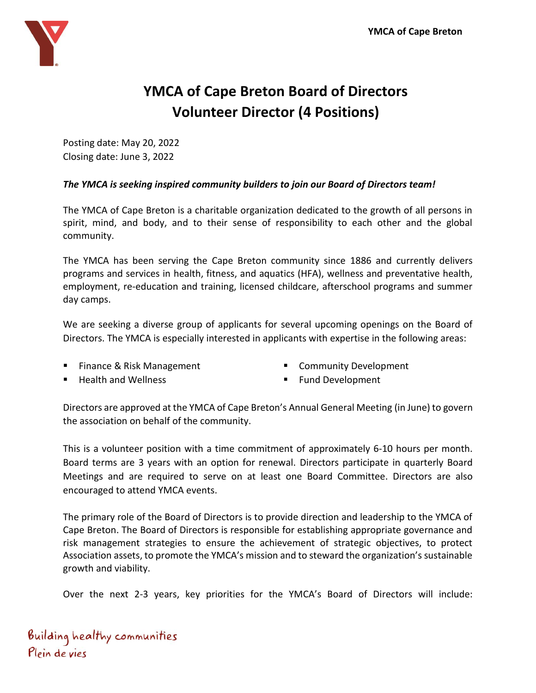

## **YMCA of Cape Breton Board of Directors Volunteer Director (4 Positions)**

Posting date: May 20, 2022 Closing date: June 3, 2022

## *The YMCA is seeking inspired community builders to join our Board of Directors team!*

The YMCA of Cape Breton is a charitable organization dedicated to the growth of all persons in spirit, mind, and body, and to their sense of responsibility to each other and the global community.

The YMCA has been serving the Cape Breton community since 1886 and currently delivers programs and services in health, fitness, and aquatics (HFA), wellness and preventative health, employment, re-education and training, licensed childcare, afterschool programs and summer day camps.

We are seeking a diverse group of applicants for several upcoming openings on the Board of Directors. The YMCA is especially interested in applicants with expertise in the following areas:

■ Finance & Risk Management

■ Community Development

**Health and Wellness** 

■ Fund Development

Directors are approved at the YMCA of Cape Breton's Annual General Meeting (in June) to govern the association on behalf of the community.

This is a volunteer position with a time commitment of approximately 6-10 hours per month. Board terms are 3 years with an option for renewal. Directors participate in quarterly Board Meetings and are required to serve on at least one Board Committee. Directors are also encouraged to attend YMCA events.

The primary role of the Board of Directors is to provide direction and leadership to the YMCA of Cape Breton. The Board of Directors is responsible for establishing appropriate governance and risk management strategies to ensure the achievement of strategic objectives, to protect Association assets, to promote the YMCA's mission and to steward the organization's sustainable growth and viability.

Over the next 2-3 years, key priorities for the YMCA's Board of Directors will include:

Building healthy communities Plein de vies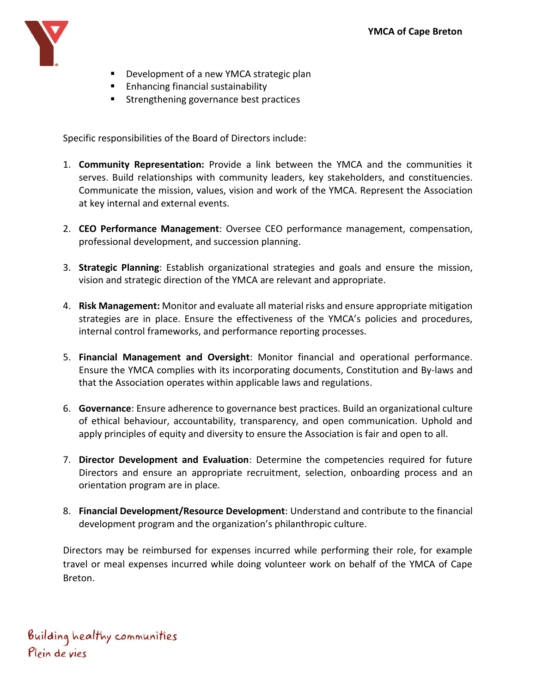

- Development of a new YMCA strategic plan
- Enhancing financial sustainability
- Strengthening governance best practices

Specific responsibilities of the Board of Directors include:

- 1. **Community Representation:** Provide a link between the YMCA and the communities it serves. Build relationships with community leaders, key stakeholders, and constituencies. Communicate the mission, values, vision and work of the YMCA. Represent the Association at key internal and external events.
- 2. **CEO Performance Management**: Oversee CEO performance management, compensation, professional development, and succession planning.
- 3. **Strategic Planning**: Establish organizational strategies and goals and ensure the mission, vision and strategic direction of the YMCA are relevant and appropriate.
- 4. **Risk Management:** Monitor and evaluate all material risks and ensure appropriate mitigation strategies are in place. Ensure the effectiveness of the YMCA's policies and procedures, internal control frameworks, and performance reporting processes.
- 5. **Financial Management and Oversight**: Monitor financial and operational performance. Ensure the YMCA complies with its incorporating documents, Constitution and By-laws and that the Association operates within applicable laws and regulations.
- 6. **Governance**: Ensure adherence to governance best practices. Build an organizational culture of ethical behaviour, accountability, transparency, and open communication. Uphold and apply principles of equity and diversity to ensure the Association is fair and open to all.
- 7. **Director Development and Evaluation**: Determine the competencies required for future Directors and ensure an appropriate recruitment, selection, onboarding process and an orientation program are in place.
- 8. **Financial Development/Resource Development**: Understand and contribute to the financial development program and the organization's philanthropic culture.

Directors may be reimbursed for expenses incurred while performing their role, for example travel or meal expenses incurred while doing volunteer work on behalf of the YMCA of Cape Breton.